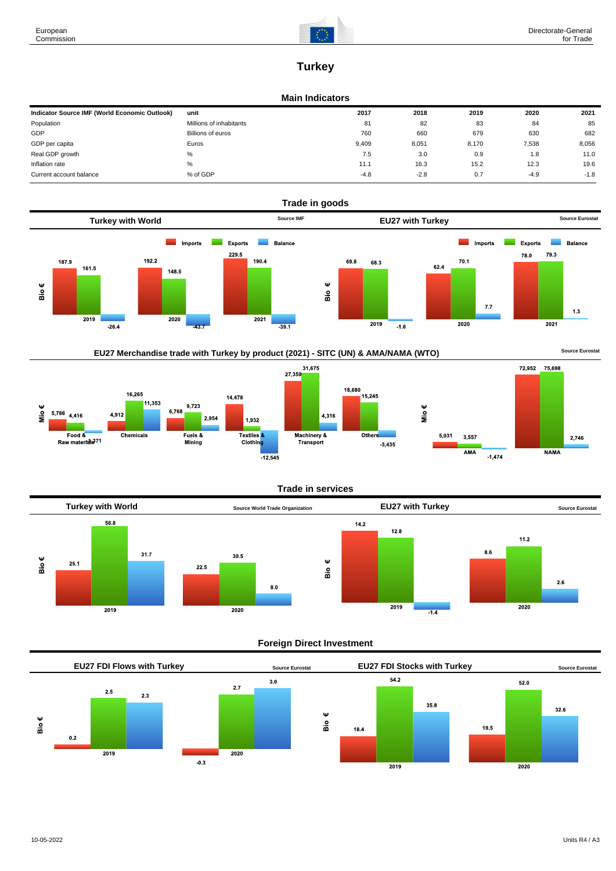

# **Turkey**

## **Main Indicators**

| Indicator Source IMF (World Economic Outlook) | unit                    | 2017   | 2018   | 2019  | 2020   | 2021   |
|-----------------------------------------------|-------------------------|--------|--------|-------|--------|--------|
| Population                                    | Millions of inhabitants | 81     | 82     | 83    | 84     | 85     |
| GDP                                           | Billions of euros       | 760    | 660    | 679   | 630    | 682    |
| GDP per capita                                | Euros                   | 9,409  | 8,051  | 8.170 | 7,538  | 8,056  |
| Real GDP growth                               | %                       | 7.5    | 3.0    | 0.9   | 1.8    | 11.0   |
| Inflation rate                                | %                       | 11.1   | 16.3   | 15.2  | 12.3   | 19.6   |
| Current account balance                       | % of GDP                | $-4.8$ | $-2.8$ | 0.7   | $-4.9$ | $-1.8$ |





### **Trade in services**



## **Foreign Direct Investment**